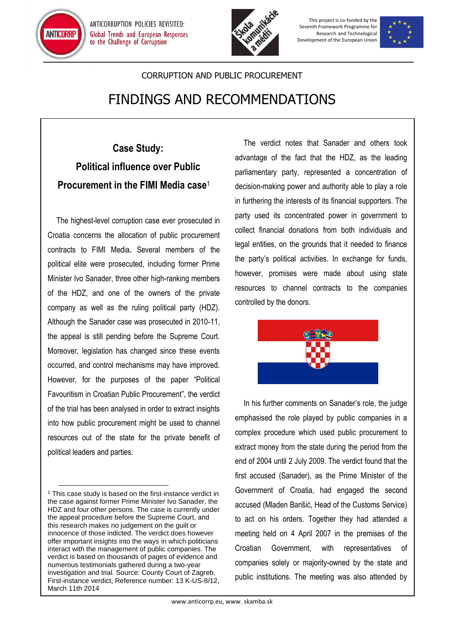



This project is co-funded by the Seventh Framework Programme for Research and Technological Development of the European Union



## CORRUPTION AND PUBLIC PROCUREMENT

## FINDINGS AND RECOMMENDATIONS

## **Case Study: Political influence over Public Procurement in the FIMI Media case**<sup>1</sup>

The highest-level corruption case ever prosecuted in Croatia concerns the allocation of public procurement contracts to FIMI Media**.** Several members of the political elite were prosecuted, including former Prime Minister Ivo Sanader, three other high-ranking members of the HDZ, and one of the owners of the private company as well as the ruling political party (HDZ). Although the Sanader case was prosecuted in 2010-11, the appeal is still pending before the Supreme Court. Moreover, legislation has changed since these events occurred, and control mechanisms may have improved. However, for the purposes of the paper "Political Favouritism in Croatian Public Procurement", the verdict of the trial has been analysed in order to extract insights into how public procurement might be used to channel resources out of the state for the private benefit of political leaders and parties.

 $\overline{\phantom{a}}$ 

The verdict notes that Sanader and others took advantage of the fact that the HDZ, as the leading parliamentary party, represented a concentration of decision-making power and authority able to play a role in furthering the interests of its financial supporters. The party used its concentrated power in government to collect financial donations from both individuals and legal entities, on the grounds that it needed to finance the party's political activities. In exchange for funds, however, promises were made about using state resources to channel contracts to the companies controlled by the donors.



In his further comments on Sanader's role, the judge emphasised the role played by public companies in a complex procedure which used public procurement to extract money from the state during the period from the end of 2004 until 2 July 2009. The verdict found that the first accused (Sanader), as the Prime Minister of the Government of Croatia, had engaged the second accused (Mladen Barišić, Head of the Customs Service) to act on his orders. Together they had attended a meeting held on 4 April 2007 in the premises of the Croatian Government, with representatives of companies solely or majority-owned by the state and public institutions. The meeting was also attended by

<sup>&</sup>lt;sup>1</sup> This case study is based on the first-instance verdict in the case against former Prime Minister Ivo Sanader, the HDZ and four other persons. The case is currently under the appeal procedure before the Supreme Court, and this research makes no judgement on the guilt or innocence of those indicted. The verdict does however offer important insights into the ways in which politicians interact with the management of public companies. The verdict is based on thousands of pages of evidence and numerous testimonials gathered during a two-year investigation and trial. Source: County Court of Zagreb, First-instance verdict, Reference number: 13 K-US-8/12, March 11th 2014